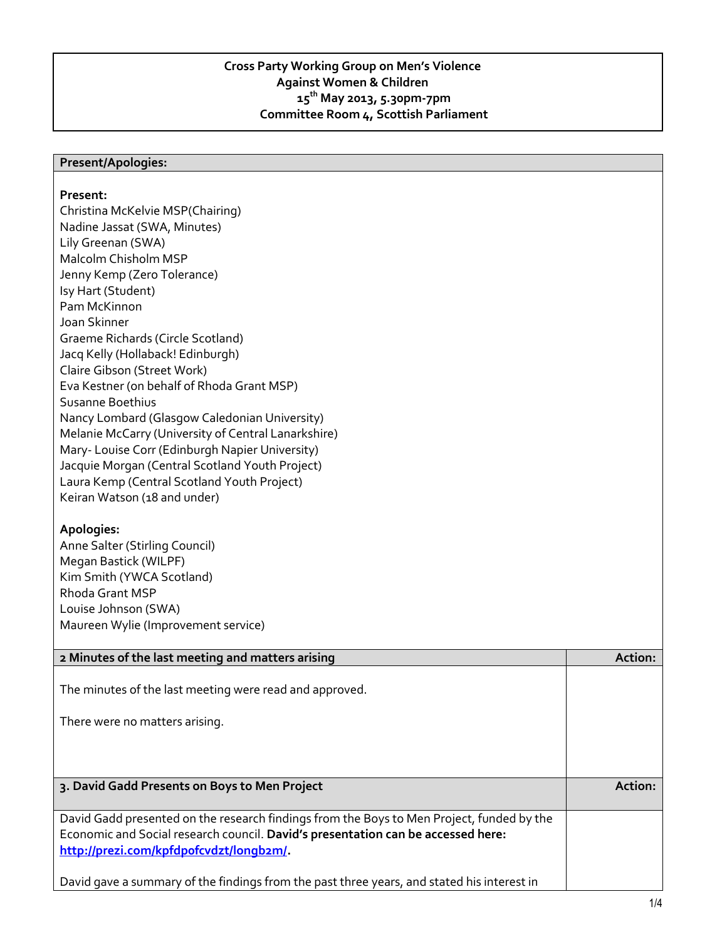## **Cross Party Working Group on Men's Violence Against Women & Children 15th May 2013, 5.30pm-7pm Committee Room 4, Scottish Parliament**

## **Present/Apologies:**

## **Present:**

Christina McKelvie MSP(Chairing) Nadine Jassat (SWA, Minutes) Lily Greenan (SWA) Malcolm Chisholm MSP Jenny Kemp (Zero Tolerance) Isy Hart (Student) Pam McKinnon Joan Skinner Graeme Richards (Circle Scotland) Jacq Kelly (Hollaback! Edinburgh) Claire Gibson (Street Work) Eva Kestner (on behalf of Rhoda Grant MSP) Susanne Boethius Nancy Lombard (Glasgow Caledonian University) Melanie McCarry (University of Central Lanarkshire) Mary- Louise Corr (Edinburgh Napier University) Jacquie Morgan (Central Scotland Youth Project) Laura Kemp (Central Scotland Youth Project) Keiran Watson (18 and under)

## **Apologies:**

Anne Salter (Stirling Council) Megan Bastick (WILPF) Kim Smith (YWCA Scotland) Rhoda Grant MSP Louise Johnson (SWA) Maureen Wylie (Improvement service)

| 2 Minutes of the last meeting and matters arising                                                                                                                                                                        | Action: |
|--------------------------------------------------------------------------------------------------------------------------------------------------------------------------------------------------------------------------|---------|
| The minutes of the last meeting were read and approved.<br>There were no matters arising.                                                                                                                                |         |
| 3. David Gadd Presents on Boys to Men Project                                                                                                                                                                            | Action: |
|                                                                                                                                                                                                                          |         |
| David Gadd presented on the research findings from the Boys to Men Project, funded by the<br>Economic and Social research council. David's presentation can be accessed here:<br>http://prezi.com/kpfdpofcvdzt/longb2m/. |         |
| David gave a summary of the findings from the past three years, and stated his interest in                                                                                                                               |         |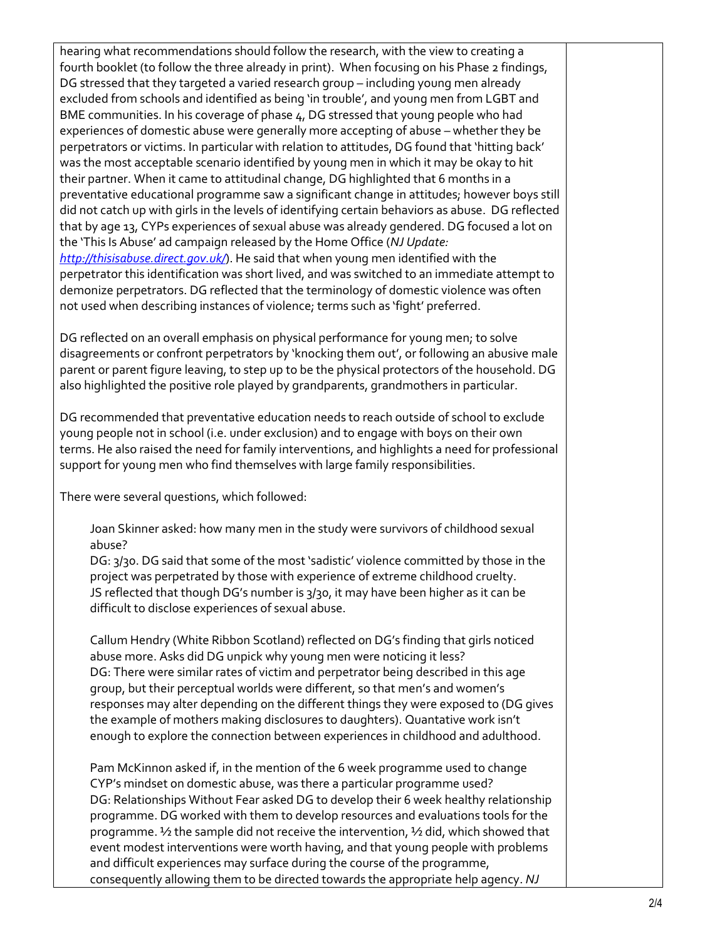hearing what recommendations should follow the research, with the view to creating a fourth booklet (to follow the three already in print). When focusing on his Phase 2 findings, DG stressed that they targeted a varied research group – including young men already excluded from schools and identified as being 'in trouble', and young men from LGBT and BME communities. In his coverage of phase 4, DG stressed that young people who had experiences of domestic abuse were generally more accepting of abuse – whether they be perpetrators or victims. In particular with relation to attitudes, DG found that 'hitting back' was the most acceptable scenario identified by young men in which it may be okay to hit their partner. When it came to attitudinal change, DG highlighted that 6 months in a preventative educational programme saw a significant change in attitudes; however boys still did not catch up with girls in the levels of identifying certain behaviors as abuse. DG reflected that by age 13, CYPs experiences of sexual abuse was already gendered. DG focused a lot on the 'This Is Abuse' ad campaign released by the Home Office (*NJ Update: <http://thisisabuse.direct.gov.uk/>*). He said that when young men identified with the perpetrator this identification was short lived, and was switched to an immediate attempt to demonize perpetrators. DG reflected that the terminology of domestic violence was often not used when describing instances of violence; terms such as 'fight' preferred.

DG reflected on an overall emphasis on physical performance for young men; to solve disagreements or confront perpetrators by 'knocking them out', or following an abusive male parent or parent figure leaving, to step up to be the physical protectors of the household. DG also highlighted the positive role played by grandparents, grandmothers in particular.

DG recommended that preventative education needs to reach outside of school to exclude young people not in school (i.e. under exclusion) and to engage with boys on their own terms. He also raised the need for family interventions, and highlights a need for professional support for young men who find themselves with large family responsibilities.

There were several questions, which followed:

Joan Skinner asked: how many men in the study were survivors of childhood sexual abuse?

DG: 3/30. DG said that some of the most 'sadistic' violence committed by those in the project was perpetrated by those with experience of extreme childhood cruelty. JS reflected that though DG's number is 3/30, it may have been higher as it can be difficult to disclose experiences of sexual abuse.

Callum Hendry (White Ribbon Scotland) reflected on DG's finding that girls noticed abuse more. Asks did DG unpick why young men were noticing it less? DG: There were similar rates of victim and perpetrator being described in this age group, but their perceptual worlds were different, so that men's and women's responses may alter depending on the different things they were exposed to (DG gives the example of mothers making disclosures to daughters). Quantative work isn't enough to explore the connection between experiences in childhood and adulthood.

Pam McKinnon asked if, in the mention of the 6 week programme used to change CYP's mindset on domestic abuse, was there a particular programme used? DG: Relationships Without Fear asked DG to develop their 6 week healthy relationship programme. DG worked with them to develop resources and evaluations tools for the programme. ½ the sample did not receive the intervention, ½ did, which showed that event modest interventions were worth having, and that young people with problems and difficult experiences may surface during the course of the programme, consequently allowing them to be directed towards the appropriate help agency. *NJ*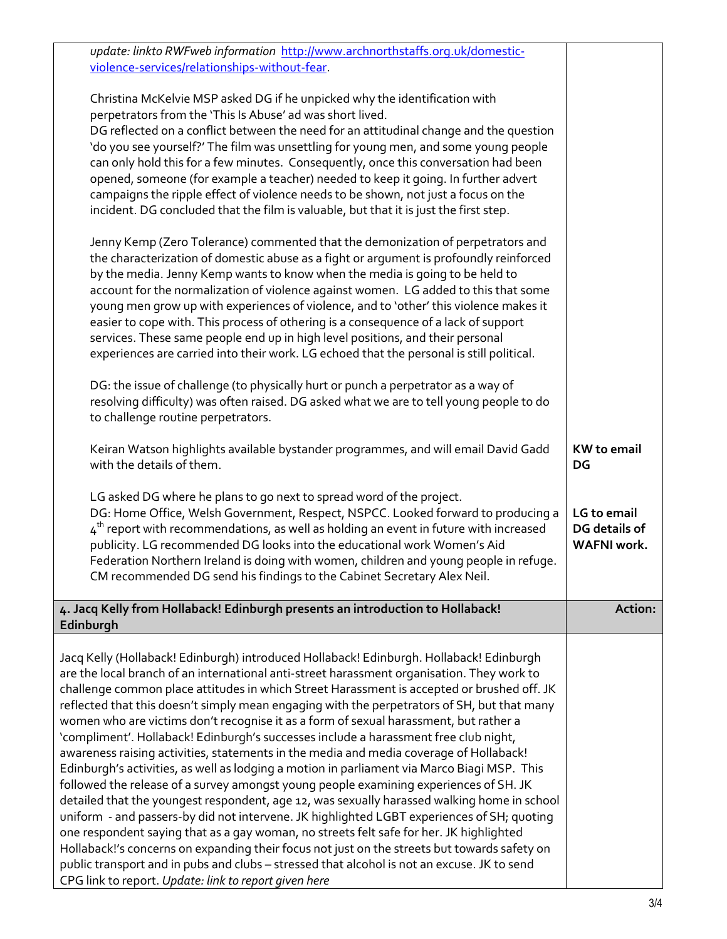| update: linkto RWFweb information http://www.archnorthstaffs.org.uk/domestic-<br>violence-services/relationships-without-fear.                                                              |                    |
|---------------------------------------------------------------------------------------------------------------------------------------------------------------------------------------------|--------------------|
|                                                                                                                                                                                             |                    |
| Christina McKelvie MSP asked DG if he unpicked why the identification with                                                                                                                  |                    |
| perpetrators from the 'This Is Abuse' ad was short lived.<br>DG reflected on a conflict between the need for an attitudinal change and the question                                         |                    |
| 'do you see yourself?' The film was unsettling for young men, and some young people                                                                                                         |                    |
| can only hold this for a few minutes. Consequently, once this conversation had been                                                                                                         |                    |
| opened, someone (for example a teacher) needed to keep it going. In further advert                                                                                                          |                    |
| campaigns the ripple effect of violence needs to be shown, not just a focus on the                                                                                                          |                    |
| incident. DG concluded that the film is valuable, but that it is just the first step.                                                                                                       |                    |
| Jenny Kemp (Zero Tolerance) commented that the demonization of perpetrators and                                                                                                             |                    |
| the characterization of domestic abuse as a fight or argument is profoundly reinforced                                                                                                      |                    |
| by the media. Jenny Kemp wants to know when the media is going to be held to                                                                                                                |                    |
| account for the normalization of violence against women. LG added to this that some                                                                                                         |                    |
| young men grow up with experiences of violence, and to 'other' this violence makes it<br>easier to cope with. This process of othering is a consequence of a lack of support                |                    |
| services. These same people end up in high level positions, and their personal                                                                                                              |                    |
| experiences are carried into their work. LG echoed that the personal is still political.                                                                                                    |                    |
|                                                                                                                                                                                             |                    |
| DG: the issue of challenge (to physically hurt or punch a perpetrator as a way of                                                                                                           |                    |
| resolving difficulty) was often raised. DG asked what we are to tell young people to do                                                                                                     |                    |
| to challenge routine perpetrators.                                                                                                                                                          |                    |
| Keiran Watson highlights available bystander programmes, and will email David Gadd                                                                                                          | <b>KW</b> to email |
| with the details of them.                                                                                                                                                                   | DG                 |
| LG asked DG where he plans to go next to spread word of the project.                                                                                                                        |                    |
| DG: Home Office, Welsh Government, Respect, NSPCC. Looked forward to producing a                                                                                                            | LG to email        |
| $4th$ report with recommendations, as well as holding an event in future with increased                                                                                                     | DG details of      |
| publicity. LG recommended DG looks into the educational work Women's Aid                                                                                                                    | <b>WAFNI</b> work. |
| Federation Northern Ireland is doing with women, children and young people in refuge.                                                                                                       |                    |
| CM recommended DG send his findings to the Cabinet Secretary Alex Neil.                                                                                                                     |                    |
| 4. Jacq Kelly from Hollaback! Edinburgh presents an introduction to Hollaback!                                                                                                              | Action:            |
| Edinburgh                                                                                                                                                                                   |                    |
| Jacq Kelly (Hollaback! Edinburgh) introduced Hollaback! Edinburgh. Hollaback! Edinburgh                                                                                                     |                    |
| are the local branch of an international anti-street harassment organisation. They work to                                                                                                  |                    |
| challenge common place attitudes in which Street Harassment is accepted or brushed off. JK                                                                                                  |                    |
| reflected that this doesn't simply mean engaging with the perpetrators of SH, but that many                                                                                                 |                    |
| women who are victims don't recognise it as a form of sexual harassment, but rather a<br>'compliment'. Hollaback! Edinburgh's successes include a harassment free club night,               |                    |
| awareness raising activities, statements in the media and media coverage of Hollaback!                                                                                                      |                    |
| Edinburgh's activities, as well as lodging a motion in parliament via Marco Biagi MSP. This                                                                                                 |                    |
| followed the release of a survey amongst young people examining experiences of SH. JK                                                                                                       |                    |
| detailed that the youngest respondent, age 12, was sexually harassed walking home in school                                                                                                 |                    |
| uniform - and passers-by did not intervene. JK highlighted LGBT experiences of SH; quoting                                                                                                  |                    |
| one respondent saying that as a gay woman, no streets felt safe for her. JK highlighted                                                                                                     |                    |
| Hollaback!'s concerns on expanding their focus not just on the streets but towards safety on<br>public transport and in pubs and clubs - stressed that alcohol is not an excuse. JK to send |                    |
| CPG link to report. Update: link to report given here                                                                                                                                       |                    |
|                                                                                                                                                                                             |                    |